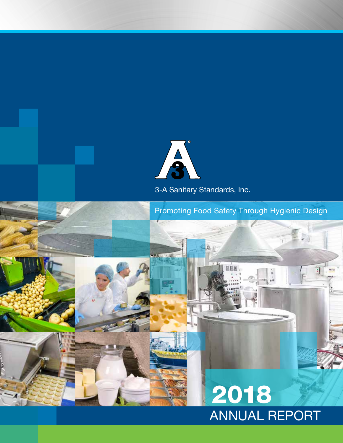

3-A Sanitary Standards, Inc.

Promoting Food Safety Through Hygienic Design

圆圆

b

# ANNUAL REPORT 2018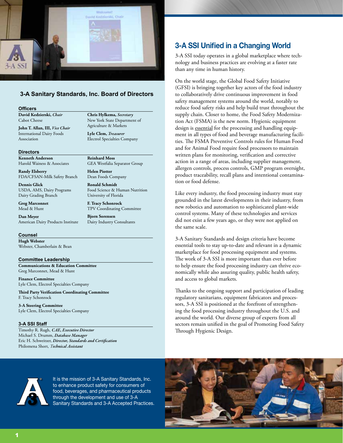

#### **3-A Sanitary Standards, Inc. Board of Directors**

#### **Officers**

**David Kedzierski,** *Chair* Cabot Cheese

**John T. Allan, III,** *Vice Chair* International Dairy Foods Association

**Directors**

**Kenneth Anderson** Harold Wainess & Associates

**Randy Elsberry** FDA/CFSAN-Milk Safety Branch

**Dennis Glick** USDA, AMS, Dairy Programs Dairy Grading Branch

**Greg Marconnet** Mead & Hunt

**Dan Meyer** American Dairy Products Institute

**Counsel**

**Hugh Webster** Webster, Chamberlain & Bean

**Committee Leadership Communications & Education Committee** Greg Marconnet, Mead & Hunt

**Finance Committee** Lyle Clem, Electrol Specialties Company

**Third Party Verification Coordinating Committee** F. Tracy Schonrock

**3-A Steering Committee** Lyle Clem, Electrol Specialties Company

#### **3-A SSI Staff**

Timothy R. Rugh, *CAE, Executive Director* Michael S. Drumm, *Database Manager* Eric H. Schweitzer, *Director, Standards and Certification* Philomena Short, *Technical Assistant*

**Chris Hylkema,** *Secretary* New York State Department of Agriculture & Markets

**Lyle Clem,** *Treasurer* Electrol Specialties Company

**Reinhard Moss**

GEA Westfalia Separator Group

**Helen Piotter** Dean Foods Company

**Ronald Schmidt** Food Science & Human Nutrition University of Florida

**F. Tracy Schonrock** TPV Coordinating Committee

**Bjorn Sorensen** Dairy Industry Consultants

# **3-A SSI Unified in a Changing World**

3-A SSI today operates in a global marketplace where technology and business practices are evolving at a faster rate than any time in human history.

On the world stage, the Global Food Safety Initiative (GFSI) is bringing together key actors of the food industry to collaboratively drive continuous improvement in food safety management systems around the world, notably to reduce food safety risks and help build trust throughout the supply chain. Closer to home, the Food Safety Modernization Act (FSMA) is the new norm. Hygienic equipment design is essential for the processing and handling equipment in all types of food and beverage manufacturing facilities. The FSMA Preventive Controls rules for Human Food and for Animal Food require food processors to maintain written plans for monitoring, verification and corrective action in a range of areas, including supplier management, allergen controls, process controls, GMP program oversight, product traceability, recall plans and intentional contamination or food defense.

Like every industry, the food processing industry must stay grounded in the latest developments in their industry, from new robotics and automation to sophisticated plant-wide control systems. Many of these technologies and services did not exist a few years ago, or they were not applied on the same scale.

3-A Sanitary Standards and design criteria have become essential tools to stay up-to-date and relevant in a dynamic marketplace for food processing equipment and systems. The work of 3-A SSI is more important than ever before to help ensure the food processing industry can thrive economically while also assuring quality, public health safety, and access to global markets.

Thanks to the ongoing support and participation of leading regulatory sanitarians, equipment fabricators and processors, 3-A SSI is positioned at the forefront of strengthening the food processing industry throughout the U.S. and around the world. Our diverse group of experts from all sectors remain unified in the goal of Promoting Food Safety Through Hygienic Design.



It is the mission of 3-A Sanitary Standards, Inc. to enhance product safety for consumers of food, beverages, and pharmaceutical products through the development and use of 3-A Sanitary Standards and 3-A Accepted Practices.

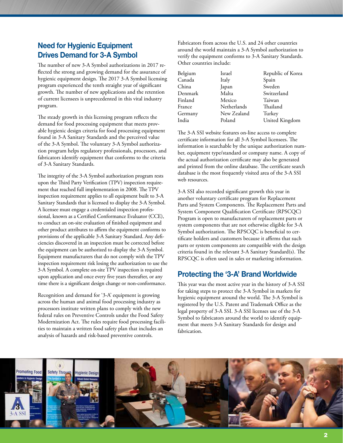## **Need for Hygienic Equipment Drives Demand for 3-A Symbol**

The number of new 3-A Symbol authorizations in 2017 reflected the strong and growing demand for the assurance of hygienic equipment design. The 2017 3-A Symbol licensing program experienced the tenth straight year of significant growth. The number of new applications and the retention of current licensees is unprecedented in this vital industry program.

The steady growth in this licensing program reflects the demand for food processing equipment that meets provable hygienic design criteria for food processing equipment found in 3-A Sanitary Standards and the perceived value of the 3-A Symbol. The voluntary 3-A Symbol authorization program helps regulatory professionals, processors, and fabricators identify equipment that conforms to the criteria of 3-A Sanitary Standards.

The integrity of the 3-A Symbol authorization program rests upon the Third Party Verification (TPV) inspection requirement that reached full implementation in 2008. The TPV inspection requirement applies to all equipment built to 3-A Sanitary Standards that is licensed to display the 3-A Symbol. A licensee must engage a credentialed inspection professional, known as a Certified Conformance Evaluator (CCE), to conduct an on-site evaluation of finished equipment and other product attributes to affirm the equipment conforms to provisions of the applicable 3-A Sanitary Standard. Any deficiencies discovered in an inspection must be corrected before the equipment can be authorized to display the 3-A Symbol. Equipment manufacturers that do not comply with the TPV inspection requirement risk losing the authorization to use the 3-A Symbol. A complete on-site TPV inspection is required upon application and once every five years thereafter, or any time there is a significant design change or non-conformance.

Recognition and demand for '3-A' equipment is growing across the human and animal food processing industry as processors institute written plans to comply with the new federal rules on Preventive Controls under the Food Safety Modernization Act. The rules require food processing facilities to maintain a written food safety plan that includes an analysis of hazards and risk-based preventive controls.

Fabricators from across the U.S. and 24 other countries around the world maintain a 3-A Symbol authorization to verify the equipment conforms to 3-A Sanitary Standards. Other countries include:

| Belgium | Israel      | Republic of Korea |
|---------|-------------|-------------------|
| Canada  | Italy       | Spain             |
| China   | Japan       | Sweden            |
| Denmark | Malta       | Switzerland       |
| Finland | Mexico      | Taiwan            |
| France  | Netherlands | Thailand          |
| Germany | New Zealand | Turkey            |
| India   | Poland      | United Kingdom    |

The 3-A SSI website features on-line access to complete certificate information for all 3-A Symbol licensees. The information is searchable by the unique authorization number, equipment type/standard or company name. A copy of the actual authorization certificate may also be generated and printed from the online database. The certificate search database is the most frequently visited area of the 3-A SSI web resources.

3-A SSI also recorded significant growth this year in another voluntary certificate program for Replacement Parts and System Components. The Replacement Parts and System Component Qualification Certificate (RPSCQC) Program is open to manufacturers of replacement parts or system components that are not otherwise eligible for 3-A Symbol authorization. The RPSCQC is beneficial to certificate holders and customers because it affirms that such parts or system components are compatible with the design criteria found in the relevant 3-A Sanitary Standard(s). The RPSCQC is often used in sales or marketing information.

## **Protecting the '3-A' Brand Worldwide**

This year was the most active year in the history of 3-A SSI for taking steps to protect the 3-A Symbol in markets for hygienic equipment around the world. The 3-A Symbol is registered by the U.S. Patent and Trademark Office as the legal property of 3-A SSI. 3-A SSI licenses use of the 3-A Symbol to fabricators around the world to identify equipment that meets 3-A Sanitary Standards for design and fabrication.

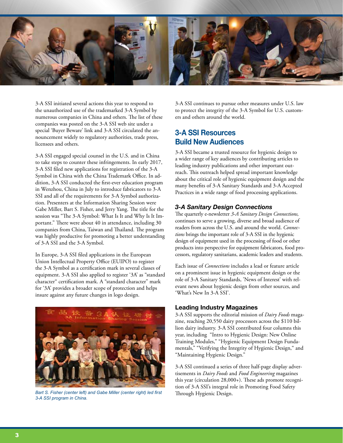

3-A SSI initiated several actions this year to respond to the unauthorized use of the trademarked 3-A Symbol by numerous companies in China and others. The list of these companies was posted on the 3-A SSI web site under a special 'Buyer Beware' link and 3-A SSI circulated the announcement widely to regulatory authorities, trade press, licensees and others.

3-A SSI engaged special counsel in the U.S. and in China to take steps to counter these infringements. In early 2017, 3-A SSI filed new applications for registration of the 3-A Symbol in China with the China Trademark Office. In addition, 3-A SSI conducted the first-ever education program in Wenzhou, China in July to introduce fabricators to 3-A SSI and all of the requirements for 3-A Symbol authorization. Presenters at the Information Sharing Session were Gabe Miller, Bart S. Fisher, and Jerry Yang. The title for the session was "The 3-A Symbol: What Is It and Why Is It Important." There were about 40 in attendance, including 30 companies from China, Taiwan and Thailand. The program was highly productive for promoting a better understanding of 3-A SSI and the 3-A Symbol.

In Europe, 3-A SSI filed applications in the European Union Intellectual Property Office (EUIPO) to register the 3-A Symbol as a certification mark in several classes of equipment. 3-A SSI also applied to register '3A' as "standard character" certification mark. A "standard character" mark for '3A' provides a broader scope of protection and helps insure against any future changes in logo design.



*Bart S. Fisher (center left) and Gabe Miller (center right) led first* Through Hygienic Design. *3-A SSI program in China.*

3-A SSI continues to pursue other measures under U.S. law to protect the integrity of the 3-A Symbol for U.S. customers and others around the world.

## **3-A SSI Resources Build New Audiences**

3-A SSI became a trusted resource for hygienic design to a wider range of key audiences by contributing articles to leading industry publications and other important outreach. This outreach helped spread important knowledge about the critical role of hygienic equipment design and the many benefits of 3-A Sanitary Standards and 3-A Accepted Practices in a wide range of food processing applications.

## *3-A Sanitary Design Connections*

The quarterly e-newsletter *3-A Sanitary Design Connections,* continues to serve a growing, diverse and broad audience of readers from across the U.S. and around the world. *Connections* brings the important role of 3-A SSI in the hygienic design of equipment used in the processing of food or other products into perspective for equipment fabricators, food processors, regulatory sanitarians, academic leaders and students.

Each issue of *Connections* includes a lead or feature article on a prominent issue in hygienic equipment design or the role of 3-A Sanitary Standards, 'News of Interest' with relevant news about hygienic design from other sources, and 'What's New In 3-A SSI'.

#### **Leading Industry Magazines**

3-A SSI supports the editorial mission of *Dairy Foods* magazine, reaching 20,550 dairy processors across the \$110 billion dairy industry. 3-A SSI contributed four columns this year, including "Intro to Hygienic Design: New Online Training Modules," "Hygienic Equipment Design Fundamentals," "Verifying the Integrity of Hygienic Design," and "Maintaining Hygienic Design."

3-A SSI continued a series of three half-page display advertisements in *Dairy Foods* and *Food Engineering* magazines this year (circulation 28,000+). These ads promote recognition of 3-A SSI's integral role in Promoting Food Safety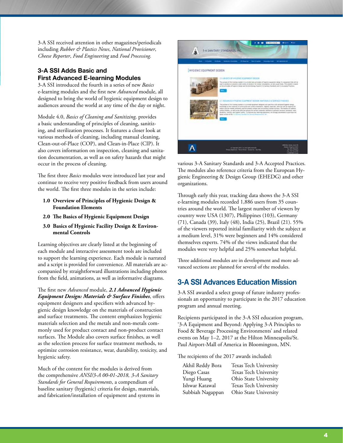3-A SSI received attention in other magazines/periodicals including *Rubber & Plastics News*, *National Provisioner*, *Cheese Reporter*, *Food Engineering* and *Food Processing*.

### **3-A SSI Adds Basic and First Advanced E-learning Modules**

3-A SSI introduced the fourth in a series of new *Basics* e-learning modules and the first new *Advanced* module, all designed to bring the world of hygienic equipment design to audiences around the world at any time of the day or night.

Module 4.0, *Basics of Cleaning and Sanitizing,* provides a basic understanding of principles of cleaning, sanitizing, and sterilization processes. It features a closer look at various methods of cleaning, including manual cleaning, Clean-out-of-Place (COP), and Clean-in-Place (CIP). It also covers information on inspection, cleaning and sanitation documentation, as well as on safety hazards that might occur in the process of cleaning.

The first three *Basics* modules were introduced last year and continue to receive very positive feedback from users around the world. The first three modules in the series include:

- **1.0 Overview of Principles of Hygienic Design & Foundation Elements**
- **2.0 The Basics of Hygienic Equipment Design**
- **3.0 Basics of Hygienic Facility Design & Environmental Controls**

Learning objectives are clearly listed at the beginning of each module and interactive assessment tools are included to support the learning experience. Each module is narrated and a script is provided for convenience. All materials are accompanied by straightforward illustrations including photos from the field, animations, as well as informative diagrams.

The first new *Advanced* module, *2.1 Advanced Hygienic Equipment Design: Materials & Surface Finishes*, offers equipment designers and specifiers with advanced hygienic design knowledge on the materials of construction and surface treatments. The content emphasizes hygienic materials selection and the metals and non-metals commonly used for product contact and non-product contact surfaces. The Module also covers surface finishes, as well as the selection process for surface treatment methods, to optimize corrosion resistance, wear, durability, toxicity, and hygienic safety.

Much of the content for the modules is derived from the comprehensive *ANSI/3-A 00-01-2018, 3-A Sanitary Standards for General Requirements*, a compendium of baseline sanitary (hygienic) criteria for design, materials, and fabrication/installation of equipment and systems in



various 3-A Sanitary Standards and 3-A Accepted Practices. The modules also reference criteria from the European Hygienic Engineering & Design Group (EHEDG) and other organizations.

Through early this year, tracking data shows the 3-A SSI e-learning modules recorded 1,886 users from 35 countries around the world. The largest number of viewers by country were USA (1307), Philippines (103), Germany (71), Canada (39), Italy (48), India (25), Brazil (21). 55% of the viewers reported initial familiarity with the subject at a medium level, 31% were beginners and 14% considered themselves experts. 74% of the views indicated that the modules were very helpful and 25% somewhat helpful.

Three additional modules are in development and more advanced sections are planned for several of the modules.

## **3-A SSI Advances Education Mission**

3-A SSI awarded a select group of future industry professionals an opportunity to participate in the 2017 education program and annual meeting.

Recipients participated in the 3-A SSI education program, '3-A Equipment and Beyond: Applying 3-A Principles to Food & Beverage Processing Environments' and related events on May 1–2, 2017 at the Hilton Minneapolis/St. Paul Airport-Mall of America in Bloomington, MN.

The recipients of the 2017 awards included:

| Akhil Reddy Bora | Texas Tech University |
|------------------|-----------------------|
| Diego Casas      | Texas Tech University |
| Yungi Huang      | Ohio State University |
| Ishwar Katawal   | Texas Tech University |
| Subbiah Nagappan | Ohio State University |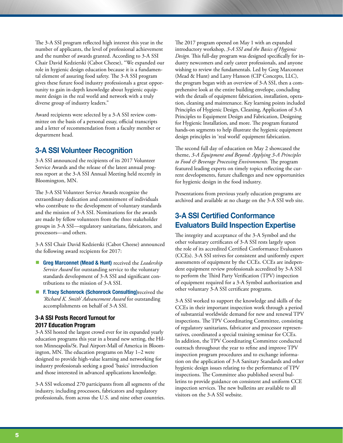The 3-A SSI program reflected high interest this year in the number of applicants, the level of professional achievement and the number of awards granted. According to 3-A SSI Chair David Kedzierski (Cabot Cheese), "We expanded our role in hygienic design education because it is a fundamental element of assuring food safety. The 3-A SSI program gives these future food industry professionals a great opportunity to gain in-depth knowledge about hygienic equipment design in the real world and network with a truly diverse group of industry leaders."

Award recipients were selected by a 3-A SSI review committee on the basis of a personal essay, official transcripts and a letter of recommendation from a faculty member or department head.

## **3-A SSI Volunteer Recognition**

3-A SSI announced the recipients of its 2017 Volunteer Service Awards and the release of the latest annual progress report at the 3-A SSI Annual Meeting held recently in Bloomington, MN.

The 3-A SSI Volunteer Service Awards recognize the extraordinary dedication and commitment of individuals who contribute to the development of voluntary standards and the mission of 3-A SSI. Nominations for the awards are made by fellow volunteers from the three stakeholder groups in 3-A SSI—regulatory sanitarians, fabricators, and processors—and others.

3-A SSI Chair David Kedzierski (Cabot Cheese) announced the following award recipients for 2017:

- **Greg Marconnet (Mead & Hunt)** received the *Leadership Service Award* for outstanding service to the voluntary standards development of 3-A SSI and significant contributions to the mission of 3-A SSI.
- **F. Tracy Schonrock (Schonrock Consulting)**received the *'Richard K. Smith' Advancement Award* for outstanding accomplishments on behalf of 3-A SSI.

#### **3-A SSI Posts Record Turnout for 2017 Education Program**

3-A SSI hosted the largest crowd ever for its expanded yearly education programs this year in a brand new setting, the Hilton Minneapolis/St. Paul Airport-Mall of America in Bloomington, MN. The education programs on May 1–2 were designed to provide high-value learning and networking for industry professionals seeking a good 'basics' introduction and those interested in advanced applications knowledge.

3-A SSI welcomed 270 participants from all segments of the industry, including processors, fabricators and regulatory professionals, from across the U.S. and nine other countries.

The 2017 program opened on May 1 with an expanded introductory workshop, *3-A SSI and the Basics of Hygienic Design.* This full-day program was designed specifically for industry newcomers and early career professionals, and anyone wishing to review the fundamentals. Led by Greg Marconnet (Mead & Hunt) and Larry Hanson (CIP Concepts, LLC), the program began with an overview of 3-A SSI, then a comprehensive look at the entire building envelope, concluding with the details of equipment fabrication, installation, operation, cleaning and maintenance. Key learning points included Principles of Hygienic Design, Cleaning, Application of 3-A Principles to Equipment Design and Fabrication, Designing for Hygienic Installation, and more. The program featured hands-on segments to help illustrate the hygienic equipment design principles in 'real world' equipment fabrication.

The second full day of education on May 2 showcased the theme, *3-A Equipment and Beyond: Applying 3-A Principles to Food & Beverage Processing Environments.* The program featured leading experts on timely topics reflecting the current developments, future challenges and new opportunities for hygienic design in the food industry.

Presentations from previous yearly education programs are archived and available at no charge on the 3-A SSI web site.

## **3-A SSI Certified Conformance Evaluators Build Inspection Expertise**

The integrity and acceptance of the 3-A Symbol and the other voluntary certificates of 3-A SSI rests largely upon the role of its accredited Certified Conformance Evaluators (CCEs). 3-A SSI strives for consistent and uniformly expert assessments of equipment by the CCEs. CCEs are independent equipment review professionals accredited by 3-A SSI to perform the Third Party Verification (TPV) inspection of equipment required for a 3-A Symbol authorization and other voluntary 3-A SSI certificate programs.

3-A SSI worked to support the knowledge and skills of the CCEs in their important inspection work through a period of substantial worldwide demand for new and renewal TPV inspections. The TPV Coordinating Committee, consisting of regulatory sanitarians, fabricator and processor representatives, coordinated a special training seminar for CCEs. In addition, the TPV Coordinating Committee conducted outreach throughout the year to refine and improve TPV inspection program procedures and to exchange information on the application of 3-A Sanitary Standards and other hygienic design issues relating to the performance of TPV inspections. The Committee also published several bulletins to provide guidance on consistent and uniform CCE inspection services. The new bulletins are available to all visitors on the 3-A SSI website.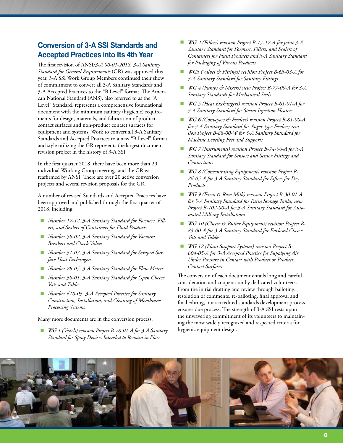## **Conversion of 3-A SSI Standards and Accepted Practices into Its 4th Year**

The first revision of ANSI*/3-A 00-01-2018, 3-A Sanitary Standard for General Requirements* (GR) was approved this year. 3-A SSI Work Group Members continued their show of commitment to convert all 3-A Sanitary Standards and 3-A Accepted Practices to the "B Level" format. The American National Standard (ANS), also referred to as the "A Level" Standard, represents a comprehensive foundational document with the minimum sanitary (hygienic) requirements for design, materials, and fabrication of product contact surfaces and non-product contact surfaces for equipment and systems. Work to convert all 3-A Sanitary Standards and Accepted Practices to a new "B Level" format and style utilizing the GR represents the largest document revision project in the history of 3-A SSI.

In the first quarter 2018, there have been more than 20 individual Working Group meetings and the GR was reaffirmed by ANSI. There are over 20 active conversion projects and several revision proposals for the GR.

A number of revised Standards and Accepted Practices have been approved and published through the first quarter of 2018, including:

- *Number 17-12, 3-A Sanitary Standard for Formers, Fillers, and Sealers of Containers for Fluid Products*
- *Number 58-02, 3-A Sanitary Standard for Vacuum Breakers and Check Valves*
- *Number 31-07, 3-A Sanitary Standard for Scraped Surface Heat Exchangers*
- *Number 28-05, 3-A Sanitary Standard for Flow Meters*
- *Number 38-01, 3-A Sanitary Standard for Open Cheese Vats and Tables*
- *Number 610-03, 3-A Accepted Practice for Sanitary Construction, Installation, and Cleaning of Membrane Processing Systems*

Many more documents are in the conversion process:

 *WG 1 (Vessels) revision Project B-78-01-A for 3-A Sanitary Standard for Spray Devices Intended to Remain in Place*

- *WG 2 (Fillers) revision Project B-17-12-A for joint 3-A Sanitary Standard for Formers, Fillers, and Sealers of Containers for Fluid Products and 3-A Sanitary Standard for Packaging of Viscous Products*
- *WG3 (Valves & Fittings) revision Project B-63-03-A for 3-A Sanitary Standard for Sanitary Fittings*
- *WG 4 (Pumps & Mixers) new Project B-77-00-A for 3-A Sanitary Standards for Mechanical Seals*
- *WG 5 (Heat Exchangers) revision Project B-61-01-A for 3-A Sanitary Standard for Steam Injection Heaters*
- *WG 6 (Conveyors & Feeders) revision Project B-81-00-A for 3-A Sanitary Standard for Auger-type Feeders; revision Project B-88-00-W for 3-A Sanitary Standard for Machine Leveling Feet and Supports*
- *WG 7 (Instruments) revision Project B-74-06-A for 3-A Sanitary Standard for Sensors and Sensor Fittings and Connections*
- *WG 8 (Concentrating Equipment) revision Project B-26-05-A for 3-A Sanitary Standard for Sifters for Dry Products*
- *WG 9 (Farm & Raw Milk) revision Project B-30-01-A for 3-A Sanitary Standard for Farm Storage Tanks; new Project B-102-00-A for 3-A Sanitary Standard for Automated Milking Installations*
- WG 10 (Cheese & Butter Equipment) revision Project B-*83-00-A for 3-A Sanitary Standard for Enclosed Cheese Vats and Tables*
- *WG 12 (Plant Support Systems) revision Project B-604-05-A for 3-A Accepted Practice for Supplying Air Under Pressure in Contact with Product or Product Contact Surfaces*

The conversion of each document entails long and careful consideration and cooperation by dedicated volunteers. From the initial drafting and review through balloting, resolution of comments, re-balloting, final approval and final editing, our accredited standards development process ensures due process. The strength of 3-A SSI rests upon the unwavering commitment of its volunteers to maintaining the most widely recognized and respected criteria for hygienic equipment design.